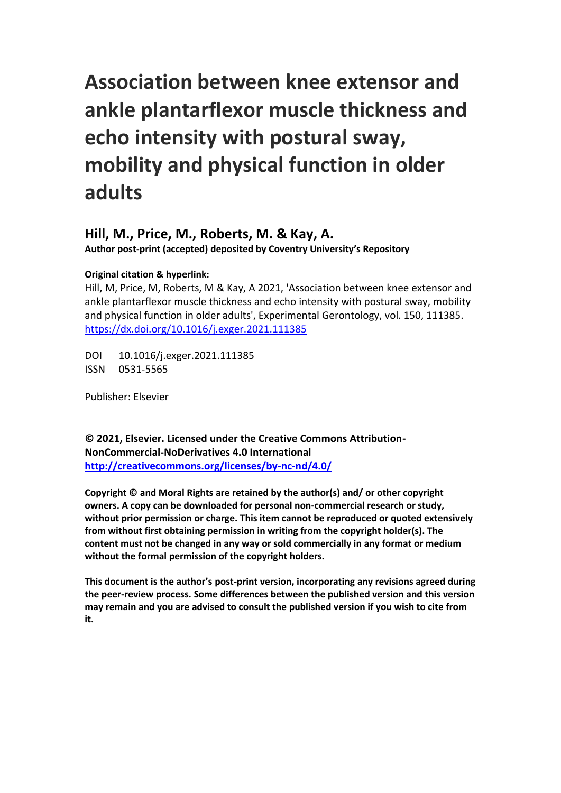# **Association between knee extensor and ankle plantarflexor muscle thickness and echo intensity with postural sway, mobility and physical function in older adults**

# **Hill, M., Price, M., Roberts, M. & Kay, A.**

**Author post-print (accepted) deposited by Coventry University's Repository**

# **Original citation & hyperlink:**

Hill, M, Price, M, Roberts, M & Kay, A 2021, 'Association between knee extensor and ankle plantarflexor muscle thickness and echo intensity with postural sway, mobility and physical function in older adults', Experimental Gerontology, vol. 150, 111385. <https://dx.doi.org/10.1016/j.exger.2021.111385>

DOI 10.1016/j.exger.2021.111385 ISSN 0531-5565

Publisher: Elsevier

**© 2021, Elsevier. Licensed under the Creative Commons Attribution-NonCommercial-NoDerivatives 4.0 International <http://creativecommons.org/licenses/by-nc-nd/4.0/>**

**Copyright © and Moral Rights are retained by the author(s) and/ or other copyright owners. A copy can be downloaded for personal non-commercial research or study, without prior permission or charge. This item cannot be reproduced or quoted extensively from without first obtaining permission in writing from the copyright holder(s). The content must not be changed in any way or sold commercially in any format or medium without the formal permission of the copyright holders.** 

**This document is the author's post-print version, incorporating any revisions agreed during the peer-review process. Some differences between the published version and this version may remain and you are advised to consult the published version if you wish to cite from it.**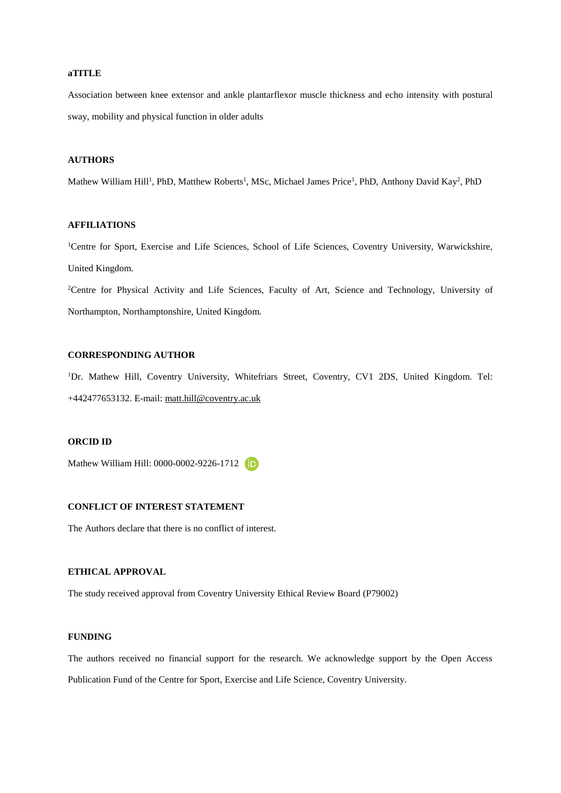#### **aTITLE**

Association between knee extensor and ankle plantarflexor muscle thickness and echo intensity with postural sway, mobility and physical function in older adults

# **AUTHORS**

Mathew William Hill<sup>1</sup>, PhD, Matthew Roberts<sup>1</sup>, MSc, Michael James Price<sup>1</sup>, PhD, Anthony David Kay<sup>2</sup>, PhD

# **AFFILIATIONS**

<sup>1</sup>Centre for Sport, Exercise and Life Sciences, School of Life Sciences, Coventry University, Warwickshire, United Kingdom.

<sup>2</sup>Centre for Physical Activity and Life Sciences, Faculty of Art, Science and Technology, University of Northampton, Northamptonshire, United Kingdom.

# **CORRESPONDING AUTHOR**

<sup>1</sup>Dr. Mathew Hill, Coventry University, Whitefriars Street, Coventry, CV1 2DS, United Kingdom. Tel: +442477653132. E-mail: [matt.hill@coventry.ac.uk](mailto:matt.hill@coventry.ac.uk)

# **ORCID ID**

Mathew William Hill: 0000-0002-9226-1712

# **CONFLICT OF INTEREST STATEMENT**

The Authors declare that there is no conflict of interest.

# **ETHICAL APPROVAL**

The study received approval from Coventry University Ethical Review Board (P79002)

# **FUNDING**

The authors received no financial support for the research. We acknowledge support by the Open Access Publication Fund of the Centre for Sport, Exercise and Life Science, Coventry University.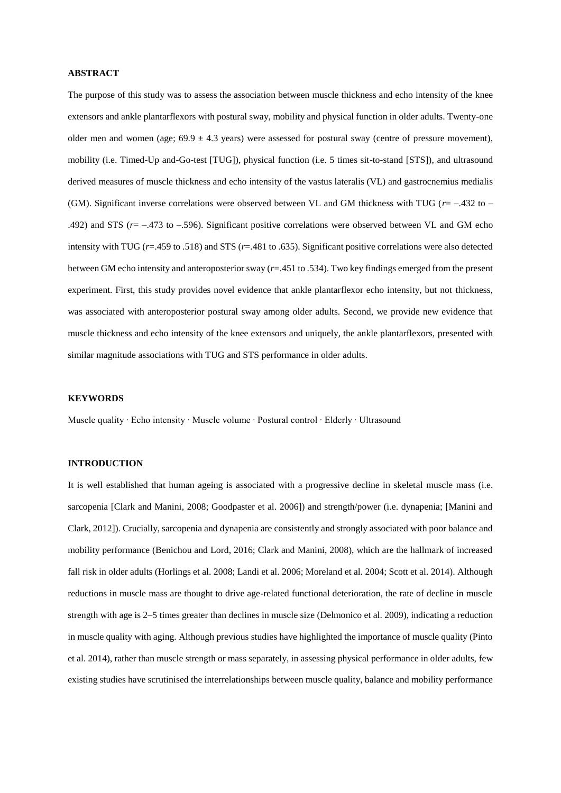#### **ABSTRACT**

The purpose of this study was to assess the association between muscle thickness and echo intensity of the knee extensors and ankle plantarflexors with postural sway, mobility and physical function in older adults. Twenty-one older men and women (age;  $69.9 \pm 4.3$  years) were assessed for postural sway (centre of pressure movement), mobility (i.e. Timed-Up and-Go-test [TUG]), physical function (i.e. 5 times sit-to-stand [STS]), and ultrasound derived measures of muscle thickness and echo intensity of the vastus lateralis (VL) and gastrocnemius medialis (GM). Significant inverse correlations were observed between VL and GM thickness with TUG ( $r = -432$  to – .492) and STS (*r*= –.473 to –.596). Significant positive correlations were observed between VL and GM echo intensity with TUG (*r*=.459 to .518) and STS (*r*=.481 to .635). Significant positive correlations were also detected between GM echo intensity and anteroposterior sway (*r*=.451 to .534). Two key findings emerged from the present experiment. First, this study provides novel evidence that ankle plantarflexor echo intensity, but not thickness, was associated with anteroposterior postural sway among older adults. Second, we provide new evidence that muscle thickness and echo intensity of the knee extensors and uniquely, the ankle plantarflexors, presented with similar magnitude associations with TUG and STS performance in older adults.

#### **KEYWORDS**

Muscle quality ∙ Echo intensity ∙ Muscle volume ∙ Postural control ∙ Elderly ∙ Ultrasound

# **INTRODUCTION**

It is well established that human ageing is associated with a progressive decline in skeletal muscle mass (i.e. sarcopenia [Clark and Manini, 2008; Goodpaster et al. 2006]) and strength/power (i.e. dynapenia; [Manini and Clark, 2012]). Crucially, sarcopenia and dynapenia are consistently and strongly associated with poor balance and mobility performance (Benichou and Lord, 2016; Clark and Manini, 2008), which are the hallmark of increased fall risk in older adults (Horlings et al. 2008; Landi et al. 2006; Moreland et al. 2004; Scott et al. 2014). Although reductions in muscle mass are thought to drive age-related functional deterioration, the rate of decline in muscle strength with age is 2–5 times greater than declines in muscle size (Delmonico et al. 2009), indicating a reduction in muscle quality with aging. Although previous studies have highlighted the importance of muscle quality (Pinto et al. 2014), rather than muscle strength or mass separately, in assessing physical performance in older adults, few existing studies have scrutinised the interrelationships between muscle quality, balance and mobility performance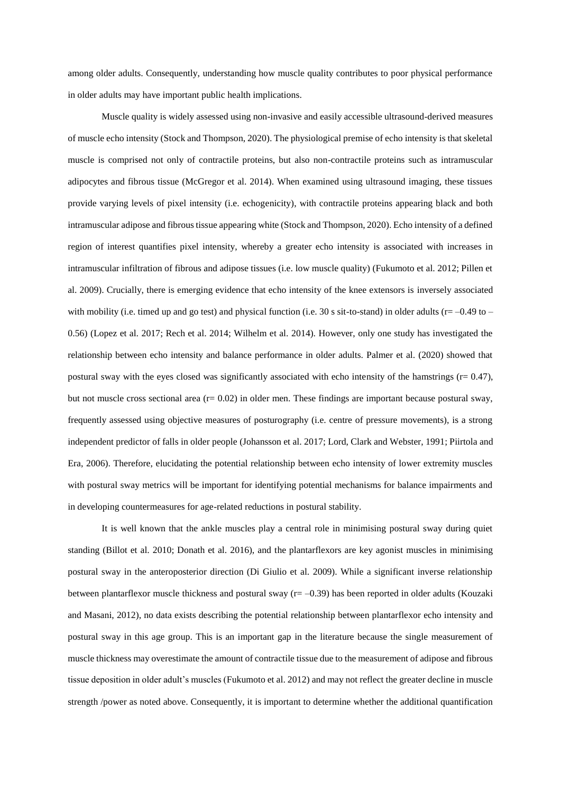among older adults. Consequently, understanding how muscle quality contributes to poor physical performance in older adults may have important public health implications.

Muscle quality is widely assessed using non-invasive and easily accessible ultrasound-derived measures of muscle echo intensity (Stock and Thompson, 2020). The physiological premise of echo intensity is that skeletal muscle is comprised not only of contractile proteins, but also non-contractile proteins such as intramuscular adipocytes and fibrous tissue (McGregor et al. 2014). When examined using ultrasound imaging, these tissues provide varying levels of pixel intensity (i.e. echogenicity), with contractile proteins appearing black and both intramuscular adipose and fibrous tissue appearing white (Stock and Thompson, 2020). Echo intensity of a defined region of interest quantifies pixel intensity, whereby a greater echo intensity is associated with increases in intramuscular infiltration of fibrous and adipose tissues (i.e. low muscle quality) (Fukumoto et al. 2012; Pillen et al. 2009). Crucially, there is emerging evidence that echo intensity of the knee extensors is inversely associated with mobility (i.e. timed up and go test) and physical function (i.e. 30 s sit-to-stand) in older adults ( $r=-0.49$  to – 0.56) (Lopez et al. 2017; Rech et al. 2014; Wilhelm et al. 2014). However, only one study has investigated the relationship between echo intensity and balance performance in older adults. Palmer et al. (2020) showed that postural sway with the eyes closed was significantly associated with echo intensity of the hamstrings ( $r= 0.47$ ), but not muscle cross sectional area ( $r = 0.02$ ) in older men. These findings are important because postural sway, frequently assessed using objective measures of posturography (i.e. centre of pressure movements), is a strong independent predictor of falls in older people (Johansson et al. 2017; Lord, Clark and Webster, 1991; Piirtola and Era, 2006). Therefore, elucidating the potential relationship between echo intensity of lower extremity muscles with postural sway metrics will be important for identifying potential mechanisms for balance impairments and in developing countermeasures for age-related reductions in postural stability.

It is well known that the ankle muscles play a central role in minimising postural sway during quiet standing (Billot et al. 2010; Donath et al. 2016), and the plantarflexors are key agonist muscles in minimising postural sway in the anteroposterior direction (Di Giulio et al. 2009). While a significant inverse relationship between plantarflexor muscle thickness and postural sway  $(r = -0.39)$  has been reported in older adults (Kouzaki and Masani, 2012), no data exists describing the potential relationship between plantarflexor echo intensity and postural sway in this age group. This is an important gap in the literature because the single measurement of muscle thickness may overestimate the amount of contractile tissue due to the measurement of adipose and fibrous tissue deposition in older adult's muscles (Fukumoto et al. 2012) and may not reflect the greater decline in muscle strength /power as noted above. Consequently, it is important to determine whether the additional quantification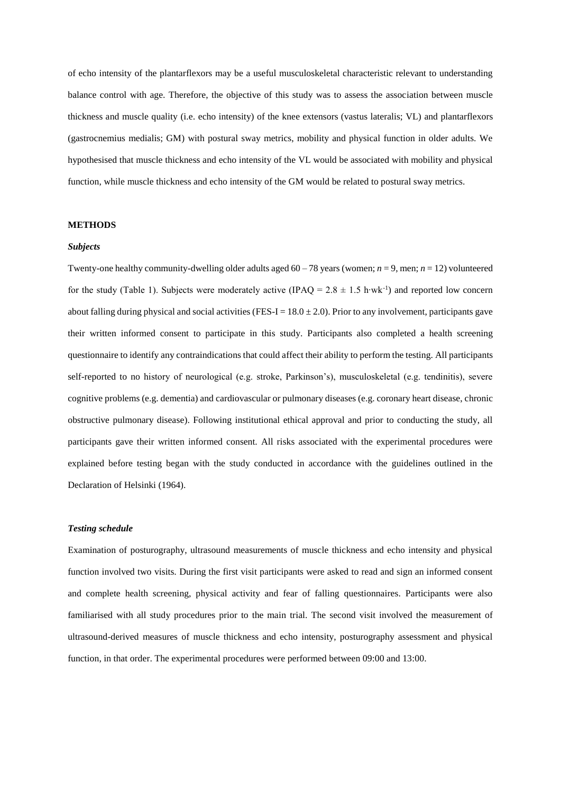of echo intensity of the plantarflexors may be a useful musculoskeletal characteristic relevant to understanding balance control with age. Therefore, the objective of this study was to assess the association between muscle thickness and muscle quality (i.e. echo intensity) of the knee extensors (vastus lateralis; VL) and plantarflexors (gastrocnemius medialis; GM) with postural sway metrics, mobility and physical function in older adults. We hypothesised that muscle thickness and echo intensity of the VL would be associated with mobility and physical function, while muscle thickness and echo intensity of the GM would be related to postural sway metrics.

# **METHODS**

#### *Subjects*

Twenty-one healthy community-dwelling older adults aged  $60 - 78$  years (women;  $n = 9$ , men;  $n = 12$ ) volunteered for the study (Table 1). Subjects were moderately active (IPAQ =  $2.8 \pm 1.5$  h⋅wk<sup>-1</sup>) and reported low concern about falling during physical and social activities (FES-I =  $18.0 \pm 2.0$ ). Prior to any involvement, participants gave their written informed consent to participate in this study. Participants also completed a health screening questionnaire to identify any contraindications that could affect their ability to perform the testing. All participants self-reported to no history of neurological (e.g. stroke, Parkinson's), musculoskeletal (e.g. tendinitis), severe cognitive problems (e.g. dementia) and cardiovascular or pulmonary diseases (e.g. coronary heart disease, chronic obstructive pulmonary disease). Following institutional ethical approval and prior to conducting the study, all participants gave their written informed consent. All risks associated with the experimental procedures were explained before testing began with the study conducted in accordance with the guidelines outlined in the Declaration of Helsinki (1964).

#### *Testing schedule*

Examination of posturography, ultrasound measurements of muscle thickness and echo intensity and physical function involved two visits. During the first visit participants were asked to read and sign an informed consent and complete health screening, physical activity and fear of falling questionnaires. Participants were also familiarised with all study procedures prior to the main trial. The second visit involved the measurement of ultrasound-derived measures of muscle thickness and echo intensity, posturography assessment and physical function, in that order. The experimental procedures were performed between 09:00 and 13:00.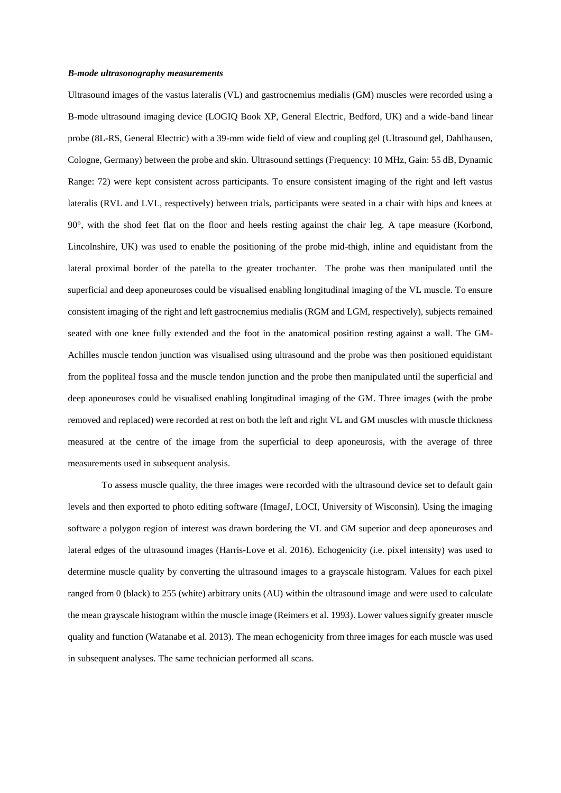#### *B-mode ultrasonography measurements*

Ultrasound images of the vastus lateralis (VL) and gastrocnemius medialis (GM) muscles were recorded using a B-mode ultrasound imaging device (LOGIQ Book XP, General Electric, Bedford, UK) and a wide-band linear probe (8L-RS, General Electric) with a 39-mm wide field of view and coupling gel (Ultrasound gel, Dahlhausen, Cologne, Germany) between the probe and skin. Ultrasound settings (Frequency: 10 MHz, Gain: 55 dB, Dynamic Range: 72) were kept consistent across participants. To ensure consistent imaging of the right and left vastus lateralis (RVL and LVL, respectively) between trials, participants were seated in a chair with hips and knees at 90°, with the shod feet flat on the floor and heels resting against the chair leg. A tape measure (Korbond, Lincolnshire, UK) was used to enable the positioning of the probe mid-thigh, inline and equidistant from the lateral proximal border of the patella to the greater trochanter. The probe was then manipulated until the superficial and deep aponeuroses could be visualised enabling longitudinal imaging of the VL muscle. To ensure consistent imaging of the right and left gastrocnemius medialis (RGM and LGM, respectively), subjects remained seated with one knee fully extended and the foot in the anatomical position resting against a wall. The GM-Achilles muscle tendon junction was visualised using ultrasound and the probe was then positioned equidistant from the popliteal fossa and the muscle tendon junction and the probe then manipulated until the superficial and deep aponeuroses could be visualised enabling longitudinal imaging of the GM. Three images (with the probe removed and replaced) were recorded at rest on both the left and right VL and GM muscles with muscle thickness measured at the centre of the image from the superficial to deep aponeurosis, with the average of three measurements used in subsequent analysis.

To assess muscle quality, the three images were recorded with the ultrasound device set to default gain levels and then exported to photo editing software (ImageJ, LOCI, University of Wisconsin). Using the imaging software a polygon region of interest was drawn bordering the VL and GM superior and deep aponeuroses and lateral edges of the ultrasound images (Harris-Love et al. 2016). Echogenicity (i.e. pixel intensity) was used to determine muscle quality by converting the ultrasound images to a grayscale histogram. Values for each pixel ranged from 0 (black) to 255 (white) arbitrary units (AU) within the ultrasound image and were used to calculate the mean grayscale histogram within the muscle image (Reimers et al. 1993). Lower values signify greater muscle quality and function (Watanabe et al. 2013). The mean echogenicity from three images for each muscle was used in subsequent analyses. The same technician performed all scans.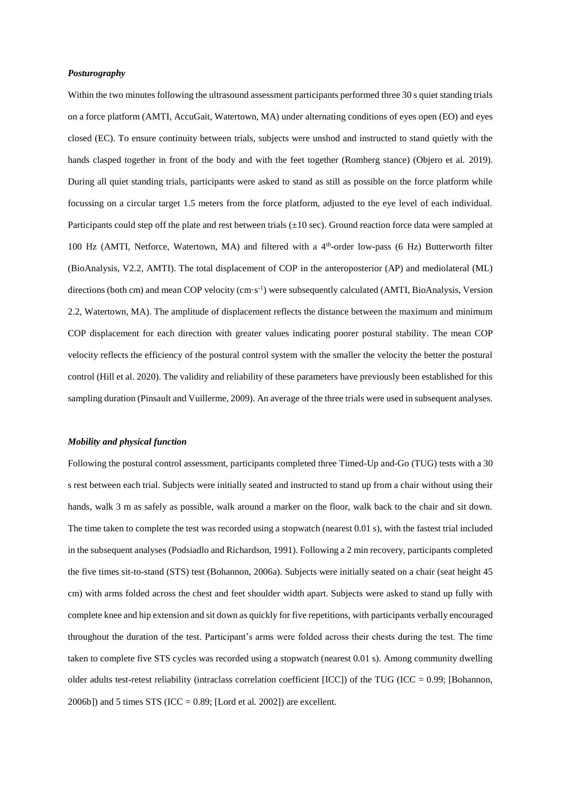#### *Posturography*

Within the two minutes following the ultrasound assessment participants performed three 30 s quiet standing trials on a force platform (AMTI, AccuGait, Watertown, MA) under alternating conditions of eyes open (EO) and eyes closed (EC). To ensure continuity between trials, subjects were unshod and instructed to stand quietly with the hands clasped together in front of the body and with the feet together (Romberg stance) (Objero et al. 2019). During all quiet standing trials, participants were asked to stand as still as possible on the force platform while focussing on a circular target 1.5 meters from the force platform, adjusted to the eye level of each individual. Participants could step off the plate and rest between trials  $(\pm 10 \text{ sec})$ . Ground reaction force data were sampled at 100 Hz (AMTI, Netforce, Watertown, MA) and filtered with a 4th -order low-pass (6 Hz) Butterworth filter (BioAnalysis, V2.2, AMTI). The total displacement of COP in the anteroposterior (AP) and mediolateral (ML) directions (both cm) and mean COP velocity (cm·s<sup>-1</sup>) were subsequently calculated (AMTI, BioAnalysis, Version 2.2, Watertown, MA). The amplitude of displacement reflects the distance between the maximum and minimum COP displacement for each direction with greater values indicating poorer postural stability. The mean COP velocity reflects the efficiency of the postural control system with the smaller the velocity the better the postural control (Hill et al. 2020). The validity and reliability of these parameters have previously been established for this sampling duration (Pinsault and Vuillerme, 2009). An average of the three trials were used in subsequent analyses.

# *Mobility and physical function*

Following the postural control assessment, participants completed three Timed-Up and-Go (TUG) tests with a 30 s rest between each trial. Subjects were initially seated and instructed to stand up from a chair without using their hands, walk 3 m as safely as possible, walk around a marker on the floor, walk back to the chair and sit down. The time taken to complete the test was recorded using a stopwatch (nearest 0.01 s), with the fastest trial included in the subsequent analyses (Podsiadlo and Richardson, 1991). Following a 2 min recovery, participants completed the five times sit-to-stand (STS) test (Bohannon, 2006a). Subjects were initially seated on a chair (seat height 45 cm) with arms folded across the chest and feet shoulder width apart. Subjects were asked to stand up fully with complete knee and hip extension and sit down as quickly for five repetitions, with participants verbally encouraged throughout the duration of the test. Participant's arms were folded across their chests during the test. The time taken to complete five STS cycles was recorded using a stopwatch (nearest 0.01 s). Among community dwelling older adults test-retest reliability (intraclass correlation coefficient [ICC]) of the TUG (ICC = 0.99; [Bohannon,  $2006b$ ]) and 5 times STS (ICC = 0.89; [Lord et al. 2002]) are excellent.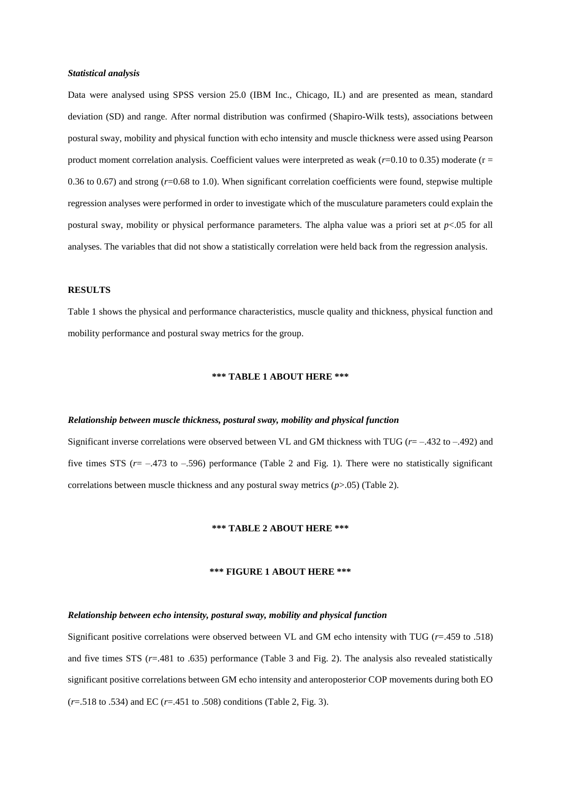#### *Statistical analysis*

Data were analysed using SPSS version 25.0 (IBM Inc., Chicago, IL) and are presented as mean, standard deviation (SD) and range. After normal distribution was confirmed (Shapiro-Wilk tests), associations between postural sway, mobility and physical function with echo intensity and muscle thickness were assed using Pearson product moment correlation analysis. Coefficient values were interpreted as weak  $(r=0.10 \text{ to } 0.35)$  moderate  $(r=$ 0.36 to 0.67) and strong (*r*=0.68 to 1.0). When significant correlation coefficients were found, stepwise multiple regression analyses were performed in order to investigate which of the musculature parameters could explain the postural sway, mobility or physical performance parameters. The alpha value was a priori set at *p*<.05 for all analyses. The variables that did not show a statistically correlation were held back from the regression analysis.

#### **RESULTS**

Table 1 shows the physical and performance characteristics, muscle quality and thickness, physical function and mobility performance and postural sway metrics for the group.

# **\*\*\* TABLE 1 ABOUT HERE \*\*\***

#### *Relationship between muscle thickness, postural sway, mobility and physical function*

Significant inverse correlations were observed between VL and GM thickness with TUG (*r*= –.432 to –.492) and five times STS  $(r = -.473$  to  $-.596$ ) performance (Table 2 and Fig. 1). There were no statistically significant correlations between muscle thickness and any postural sway metrics (*p*>.05) (Table 2).

# **\*\*\* TABLE 2 ABOUT HERE \*\*\***

# **\*\*\* FIGURE 1 ABOUT HERE \*\*\***

#### *Relationship between echo intensity, postural sway, mobility and physical function*

Significant positive correlations were observed between VL and GM echo intensity with TUG (*r*=.459 to .518) and five times STS (*r*=.481 to .635) performance (Table 3 and Fig. 2). The analysis also revealed statistically significant positive correlations between GM echo intensity and anteroposterior COP movements during both EO (*r*=.518 to .534) and EC (*r*=.451 to .508) conditions (Table 2, Fig. 3).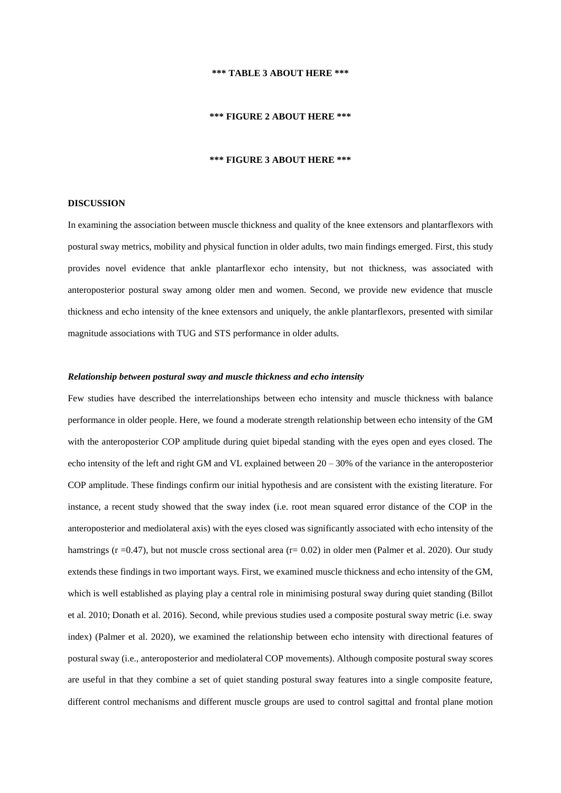#### **\*\*\* TABLE 3 ABOUT HERE \*\*\***

#### **\*\*\* FIGURE 2 ABOUT HERE \*\*\***

# **\*\*\* FIGURE 3 ABOUT HERE \*\*\***

# **DISCUSSION**

In examining the association between muscle thickness and quality of the knee extensors and plantarflexors with postural sway metrics, mobility and physical function in older adults, two main findings emerged. First, this study provides novel evidence that ankle plantarflexor echo intensity, but not thickness, was associated with anteroposterior postural sway among older men and women. Second, we provide new evidence that muscle thickness and echo intensity of the knee extensors and uniquely, the ankle plantarflexors, presented with similar magnitude associations with TUG and STS performance in older adults.

#### *Relationship between postural sway and muscle thickness and echo intensity*

Few studies have described the interrelationships between echo intensity and muscle thickness with balance performance in older people. Here, we found a moderate strength relationship between echo intensity of the GM with the anteroposterior COP amplitude during quiet bipedal standing with the eyes open and eyes closed. The echo intensity of the left and right GM and VL explained between 20 – 30% of the variance in the anteroposterior COP amplitude. These findings confirm our initial hypothesis and are consistent with the existing literature. For instance, a recent study showed that the sway index (i.e. root mean squared error distance of the COP in the anteroposterior and mediolateral axis) with the eyes closed was significantly associated with echo intensity of the hamstrings ( $r = 0.47$ ), but not muscle cross sectional area ( $r = 0.02$ ) in older men (Palmer et al. 2020). Our study extends these findings in two important ways. First, we examined muscle thickness and echo intensity of the GM, which is well established as playing play a central role in minimising postural sway during quiet standing (Billot et al. 2010; Donath et al. 2016). Second, while previous studies used a composite postural sway metric (i.e. sway index) (Palmer et al. 2020), we examined the relationship between echo intensity with directional features of postural sway (i.e., anteroposterior and mediolateral COP movements). Although composite postural sway scores are useful in that they combine a set of quiet standing postural sway features into a single composite feature, different control mechanisms and different muscle groups are used to control sagittal and frontal plane motion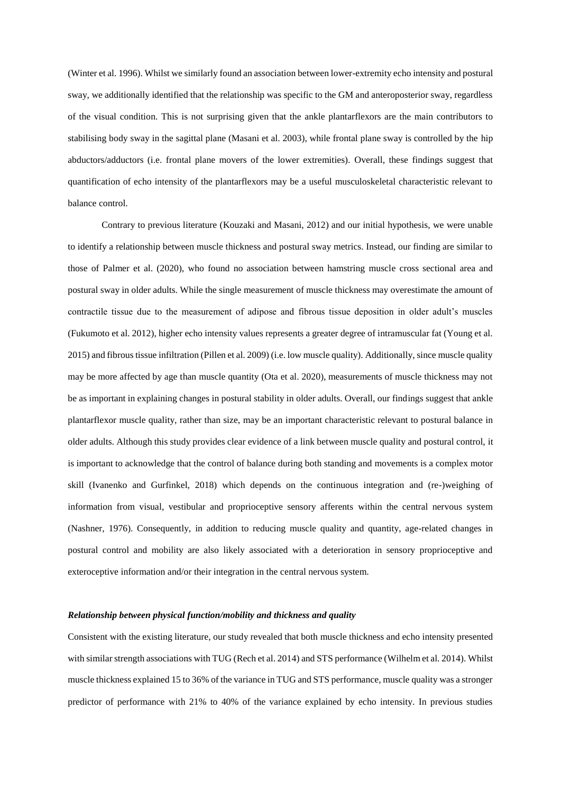(Winter et al. 1996). Whilst we similarly found an association between lower-extremity echo intensity and postural sway, we additionally identified that the relationship was specific to the GM and anteroposterior sway, regardless of the visual condition. This is not surprising given that the ankle plantarflexors are the main contributors to stabilising body sway in the sagittal plane (Masani et al. 2003), while frontal plane sway is controlled by the hip abductors/adductors (i.e. frontal plane movers of the lower extremities). Overall, these findings suggest that quantification of echo intensity of the plantarflexors may be a useful musculoskeletal characteristic relevant to balance control.

Contrary to previous literature (Kouzaki and Masani, 2012) and our initial hypothesis, we were unable to identify a relationship between muscle thickness and postural sway metrics. Instead, our finding are similar to those of Palmer et al. (2020), who found no association between hamstring muscle cross sectional area and postural sway in older adults. While the single measurement of muscle thickness may overestimate the amount of contractile tissue due to the measurement of adipose and fibrous tissue deposition in older adult's muscles (Fukumoto et al. 2012), higher echo intensity values represents a greater degree of intramuscular fat (Young et al. 2015) and fibrous tissue infiltration (Pillen et al. 2009) (i.e. low muscle quality). Additionally, since muscle quality may be more affected by age than muscle quantity (Ota et al. 2020), measurements of muscle thickness may not be as important in explaining changes in postural stability in older adults. Overall, our findings suggest that ankle plantarflexor muscle quality, rather than size, may be an important characteristic relevant to postural balance in older adults. Although this study provides clear evidence of a link between muscle quality and postural control, it is important to acknowledge that the control of balance during both standing and movements is a complex motor skill (Ivanenko and Gurfinkel, 2018) which depends on the continuous integration and (re-)weighing of information from visual, vestibular and proprioceptive sensory afferents within the central nervous system (Nashner, 1976). Consequently, in addition to reducing muscle quality and quantity, age-related changes in postural control and mobility are also likely associated with a deterioration in sensory proprioceptive and exteroceptive information and/or their integration in the central nervous system.

#### *Relationship between physical function/mobility and thickness and quality*

Consistent with the existing literature, our study revealed that both muscle thickness and echo intensity presented with similar strength associations with TUG (Rech et al. 2014) and STS performance (Wilhelm et al. 2014). Whilst muscle thickness explained 15 to 36% of the variance in TUG and STS performance, muscle quality was a stronger predictor of performance with 21% to 40% of the variance explained by echo intensity. In previous studies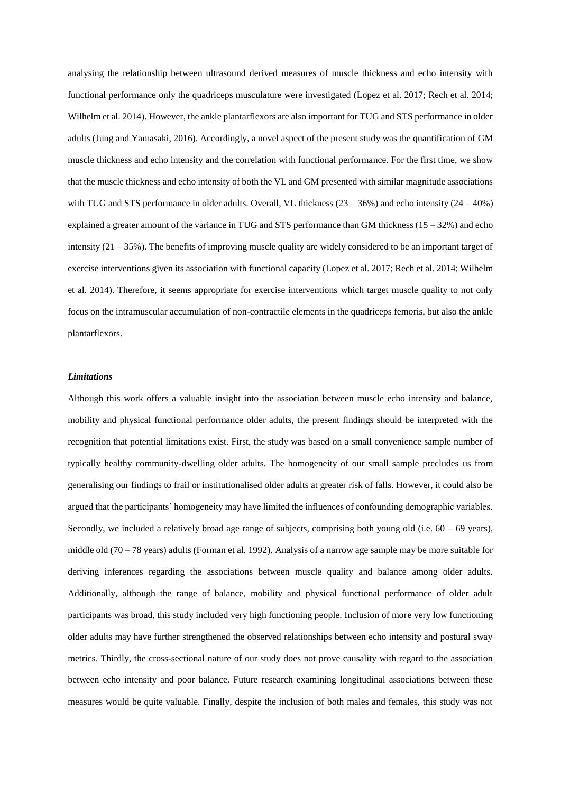analysing the relationship between ultrasound derived measures of muscle thickness and echo intensity with functional performance only the quadriceps musculature were investigated (Lopez et al. 2017; Rech et al. 2014; Wilhelm et al. 2014). However, the ankle plantarflexors are also important for TUG and STS performance in older adults (Jung and Yamasaki, 2016). Accordingly, a novel aspect of the present study was the quantification of GM muscle thickness and echo intensity and the correlation with functional performance. For the first time, we show that the muscle thickness and echo intensity of both the VL and GM presented with similar magnitude associations with TUG and STS performance in older adults. Overall, VL thickness  $(23 - 36%)$  and echo intensity  $(24 - 40%)$ explained a greater amount of the variance in TUG and STS performance than GM thickness  $(15 - 32\%)$  and echo intensity  $(21 – 35%)$ . The benefits of improving muscle quality are widely considered to be an important target of exercise interventions given its association with functional capacity (Lopez et al. 2017; Rech et al. 2014; Wilhelm et al. 2014). Therefore, it seems appropriate for exercise interventions which target muscle quality to not only focus on the intramuscular accumulation of non-contractile elements in the quadriceps femoris, but also the ankle plantarflexors.

#### *Limitations*

Although this work offers a valuable insight into the association between muscle echo intensity and balance, mobility and physical functional performance older adults, the present findings should be interpreted with the recognition that potential limitations exist. First, the study was based on a small convenience sample number of typically healthy community-dwelling older adults. The homogeneity of our small sample precludes us from generalising our findings to frail or institutionalised older adults at greater risk of falls. However, it could also be argued that the participants' homogeneity may have limited the influences of confounding demographic variables. Secondly, we included a relatively broad age range of subjects, comprising both young old (i.e.  $60 - 69$  years), middle old (70 – 78 years) adults (Forman et al. 1992). Analysis of a narrow age sample may be more suitable for deriving inferences regarding the associations between muscle quality and balance among older adults. Additionally, although the range of balance, mobility and physical functional performance of older adult participants was broad, this study included very high functioning people. Inclusion of more very low functioning older adults may have further strengthened the observed relationships between echo intensity and postural sway metrics. Thirdly, the cross-sectional nature of our study does not prove causality with regard to the association between echo intensity and poor balance. Future research examining longitudinal associations between these measures would be quite valuable. Finally, despite the inclusion of both males and females, this study was not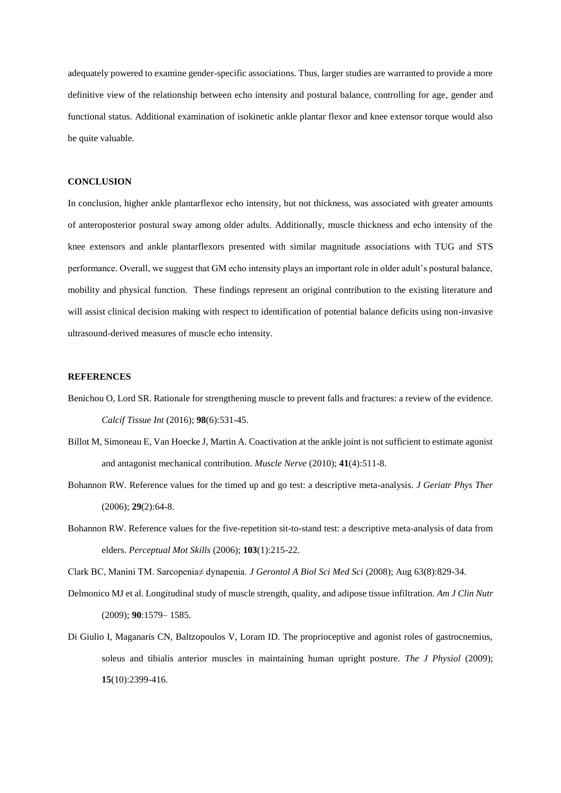adequately powered to examine gender-specific associations. Thus, larger studies are warranted to provide a more definitive view of the relationship between echo intensity and postural balance, controlling for age, gender and functional status. Additional examination of isokinetic ankle plantar flexor and knee extensor torque would also be quite valuable.

# **CONCLUSION**

In conclusion, higher ankle plantarflexor echo intensity, but not thickness, was associated with greater amounts of anteroposterior postural sway among older adults. Additionally, muscle thickness and echo intensity of the knee extensors and ankle plantarflexors presented with similar magnitude associations with TUG and STS performance. Overall, we suggest that GM echo intensity plays an important role in older adult's postural balance, mobility and physical function. These findings represent an original contribution to the existing literature and will assist clinical decision making with respect to identification of potential balance deficits using non-invasive ultrasound-derived measures of muscle echo intensity.

# **REFERENCES**

- Benichou O, Lord SR. Rationale for strengthening muscle to prevent falls and fractures: a review of the evidence. *Calcif Tissue Int* (2016); **98**(6):531-45.
- Billot M, Simoneau E, Van Hoecke J, Martin A. Coactivation at the ankle joint is not sufficient to estimate agonist and antagonist mechanical contribution. *Muscle Nerve* (2010); **41**(4):511-8.
- Bohannon RW. Reference values for the timed up and go test: a descriptive meta-analysis. *J Geriatr Phys Ther* (2006); **29**(2):64-8.
- Bohannon RW. Reference values for the five-repetition sit-to-stand test: a descriptive meta-analysis of data from elders. *Perceptual Mot Skills* (2006); **103**(1):215-22.

Clark BC, Manini TM. Sarcopenia≠ dynapenia. *J Gerontol A Biol Sci Med Sci* (2008); Aug 63(8):829-34.

- Delmonico MJ et al. Longitudinal study of muscle strength, quality, and adipose tissue infiltration. *Am J Clin Nutr* (2009); **90**:1579– 1585.
- Di Giulio I, Maganaris CN, Baltzopoulos V, Loram ID. The proprioceptive and agonist roles of gastrocnemius, soleus and tibialis anterior muscles in maintaining human upright posture. *The J Physiol* (2009); **15**(10):2399-416.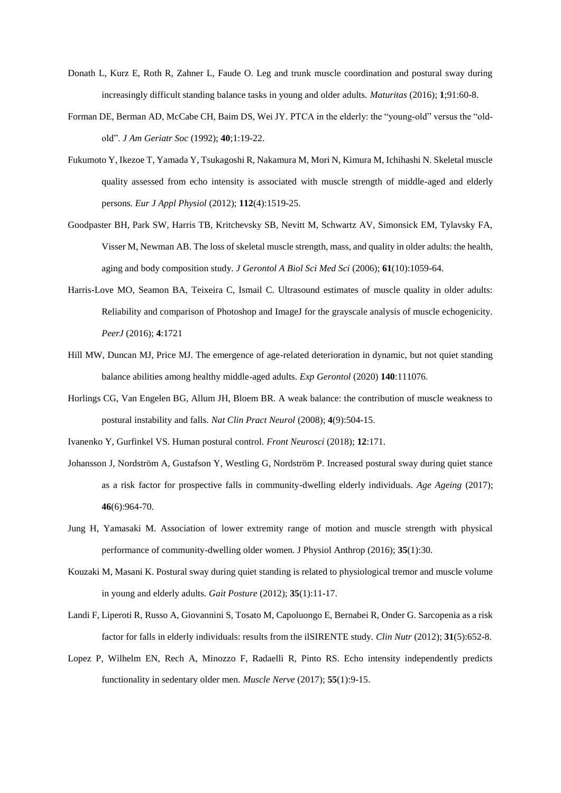- Donath L, Kurz E, Roth R, Zahner L, Faude O. Leg and trunk muscle coordination and postural sway during increasingly difficult standing balance tasks in young and older adults. *Maturitas* (2016); **1**;91:60-8.
- Forman DE, Berman AD, McCabe CH, Baim DS, Wei JY. PTCA in the elderly: the "young-old" versus the "oldold". *J Am Geriatr Soc* (1992); **40**;1:19-22.
- Fukumoto Y, Ikezoe T, Yamada Y, Tsukagoshi R, Nakamura M, Mori N, Kimura M, Ichihashi N. Skeletal muscle quality assessed from echo intensity is associated with muscle strength of middle-aged and elderly persons. *Eur J Appl Physiol* (2012); **112**(4):1519-25.
- Goodpaster BH, Park SW, Harris TB, Kritchevsky SB, Nevitt M, Schwartz AV, Simonsick EM, Tylavsky FA, Visser M, Newman AB. The loss of skeletal muscle strength, mass, and quality in older adults: the health, aging and body composition study. *J Gerontol A Biol Sci Med Sci* (2006); **61**(10):1059-64.
- Harris-Love MO, Seamon BA, Teixeira C, Ismail C. Ultrasound estimates of muscle quality in older adults: Reliability and comparison of Photoshop and ImageJ for the grayscale analysis of muscle echogenicity. *PeerJ* (2016); **4**:1721
- Hill MW, Duncan MJ, Price MJ. The emergence of age-related deterioration in dynamic, but not quiet standing balance abilities among healthy middle-aged adults. *Exp Gerontol* (2020) **140**:111076.
- Horlings CG, Van Engelen BG, Allum JH, Bloem BR. A weak balance: the contribution of muscle weakness to postural instability and falls. *Nat Clin Pract Neurol* (2008); **4**(9):504-15.
- Ivanenko Y, Gurfinkel VS. Human postural control. *Front Neurosci* (2018); **12**:171.
- Johansson J, Nordström A, Gustafson Y, Westling G, Nordström P. Increased postural sway during quiet stance as a risk factor for prospective falls in community-dwelling elderly individuals. *Age Ageing* (2017); **46**(6):964-70.
- Jung H, Yamasaki M. Association of lower extremity range of motion and muscle strength with physical performance of community-dwelling older women. J Physiol Anthrop (2016); **35**(1):30.
- Kouzaki M, Masani K. Postural sway during quiet standing is related to physiological tremor and muscle volume in young and elderly adults. *Gait Posture* (2012); **35**(1):11-17.
- Landi F, Liperoti R, Russo A, Giovannini S, Tosato M, Capoluongo E, Bernabei R, Onder G. Sarcopenia as a risk factor for falls in elderly individuals: results from the ilSIRENTE study. *Clin Nutr* (2012); **31**(5):652-8.
- Lopez P, Wilhelm EN, Rech A, Minozzo F, Radaelli R, Pinto RS. Echo intensity independently predicts functionality in sedentary older men. *Muscle Nerve* (2017); **55**(1):9-15.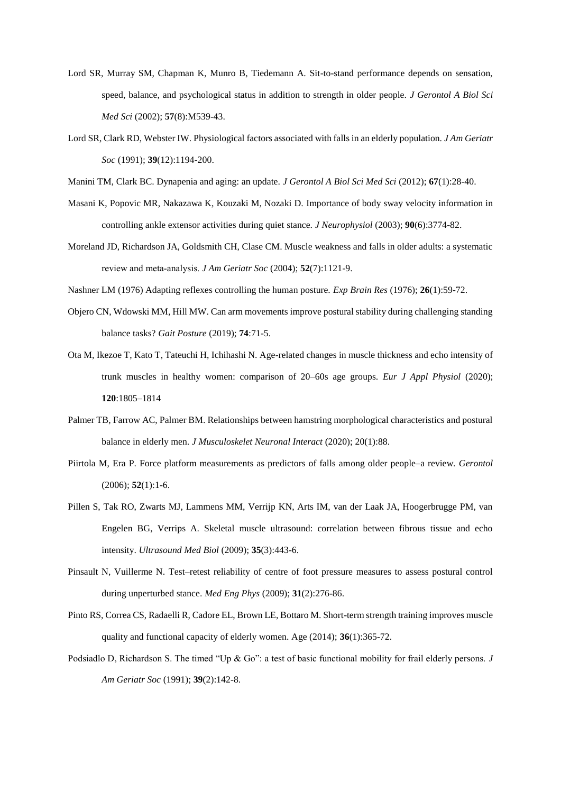- Lord SR, Murray SM, Chapman K, Munro B, Tiedemann A. Sit-to-stand performance depends on sensation, speed, balance, and psychological status in addition to strength in older people. *J Gerontol A Biol Sci Med Sci* (2002); **57**(8):M539-43.
- Lord SR, Clark RD, Webster IW. Physiological factors associated with falls in an elderly population. *J Am Geriatr Soc* (1991); **39**(12):1194-200.
- Manini TM, Clark BC. Dynapenia and aging: an update. *J Gerontol A Biol Sci Med Sci* (2012); **67**(1):28-40.
- Masani K, Popovic MR, Nakazawa K, Kouzaki M, Nozaki D. Importance of body sway velocity information in controlling ankle extensor activities during quiet stance. *J Neurophysiol* (2003); **90**(6):3774-82.
- Moreland JD, Richardson JA, Goldsmith CH, Clase CM. Muscle weakness and falls in older adults: a systematic review and meta‐analysis. *J Am Geriatr Soc* (2004); **52**(7):1121-9.
- Nashner LM (1976) Adapting reflexes controlling the human posture. *Exp Brain Res* (1976); **26**(1):59-72.
- Objero CN, Wdowski MM, Hill MW. Can arm movements improve postural stability during challenging standing balance tasks? *Gait Posture* (2019); **74**:71-5.
- Ota M, Ikezoe T, Kato T, Tateuchi H, Ichihashi N. Age-related changes in muscle thickness and echo intensity of trunk muscles in healthy women: comparison of 20–60s age groups. *Eur J Appl Physiol* (2020); **120**:1805–1814
- Palmer TB, Farrow AC, Palmer BM. Relationships between hamstring morphological characteristics and postural balance in elderly men. *J Musculoskelet Neuronal Interact* (2020); 20(1):88.
- Piirtola M, Era P. Force platform measurements as predictors of falls among older people–a review. *Gerontol*  (2006); **52**(1):1-6.
- Pillen S, Tak RO, Zwarts MJ, Lammens MM, Verrijp KN, Arts IM, van der Laak JA, Hoogerbrugge PM, van Engelen BG, Verrips A. Skeletal muscle ultrasound: correlation between fibrous tissue and echo intensity. *Ultrasound Med Biol* (2009); **35**(3):443-6.
- Pinsault N, Vuillerme N. Test–retest reliability of centre of foot pressure measures to assess postural control during unperturbed stance. *Med Eng Phys* (2009); **31**(2):276-86.
- Pinto RS, Correa CS, Radaelli R, Cadore EL, Brown LE, Bottaro M. Short-term strength training improves muscle quality and functional capacity of elderly women. Age (2014); **36**(1):365-72.
- Podsiadlo D, Richardson S. The timed "Up & Go": a test of basic functional mobility for frail elderly persons. *J Am Geriatr Soc* (1991); **39**(2):142-8.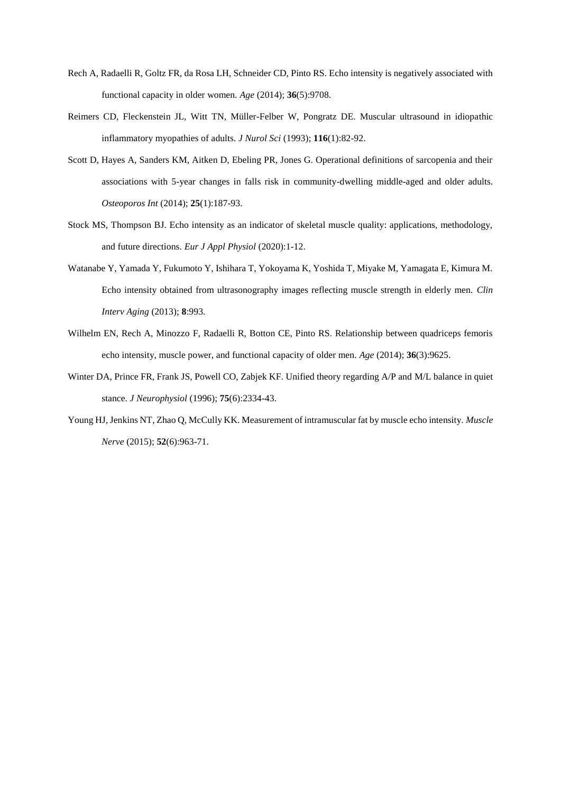- Rech A, Radaelli R, Goltz FR, da Rosa LH, Schneider CD, Pinto RS. Echo intensity is negatively associated with functional capacity in older women. *Age* (2014); **36**(5):9708.
- Reimers CD, Fleckenstein JL, Witt TN, Müller-Felber W, Pongratz DE. Muscular ultrasound in idiopathic inflammatory myopathies of adults. *J Nurol Sci* (1993); **116**(1):82-92.
- Scott D, Hayes A, Sanders KM, Aitken D, Ebeling PR, Jones G. Operational definitions of sarcopenia and their associations with 5-year changes in falls risk in community-dwelling middle-aged and older adults. *Osteoporos Int* (2014); **25**(1):187-93.
- Stock MS, Thompson BJ. Echo intensity as an indicator of skeletal muscle quality: applications, methodology, and future directions. *Eur J Appl Physiol* (2020):1-12.
- Watanabe Y, Yamada Y, Fukumoto Y, Ishihara T, Yokoyama K, Yoshida T, Miyake M, Yamagata E, Kimura M. Echo intensity obtained from ultrasonography images reflecting muscle strength in elderly men. *Clin Interv Aging* (2013); **8**:993.
- Wilhelm EN, Rech A, Minozzo F, Radaelli R, Botton CE, Pinto RS. Relationship between quadriceps femoris echo intensity, muscle power, and functional capacity of older men. *Age* (2014); **36**(3):9625.
- Winter DA, Prince FR, Frank JS, Powell CO, Zabjek KF. Unified theory regarding A/P and M/L balance in quiet stance. *J Neurophysiol* (1996); **75**(6):2334-43.
- Young HJ, Jenkins NT, Zhao Q, McCully KK. Measurement of intramuscular fat by muscle echo intensity. *Muscle Nerve* (2015); **52**(6):963-71.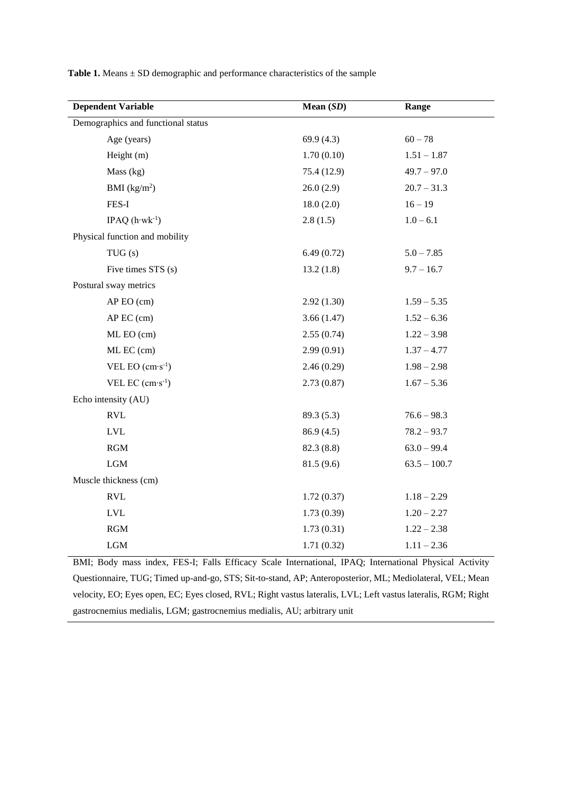| <b>Dependent Variable</b>          | Mean (SD)   | Range          |
|------------------------------------|-------------|----------------|
| Demographics and functional status |             |                |
| Age (years)                        | 69.9(4.3)   | $60 - 78$      |
| Height (m)                         | 1.70(0.10)  | $1.51 - 1.87$  |
| Mass (kg)                          | 75.4 (12.9) | $49.7 - 97.0$  |
| BMI (kg/m <sup>2</sup> )           | 26.0(2.9)   | $20.7 - 31.3$  |
| FES-I                              | 18.0(2.0)   | $16 - 19$      |
| IPAQ $(h·wk-1)$                    | 2.8(1.5)    | $1.0 - 6.1$    |
| Physical function and mobility     |             |                |
| TUG(s)                             | 6.49(0.72)  | $5.0 - 7.85$   |
| Five times STS (s)                 | 13.2(1.8)   | $9.7 - 16.7$   |
| Postural sway metrics              |             |                |
| AP EO (cm)                         | 2.92(1.30)  | $1.59 - 5.35$  |
| AP EC (cm)                         | 3.66(1.47)  | $1.52 - 6.36$  |
| ML EO (cm)                         | 2.55(0.74)  | $1.22 - 3.98$  |
| ML EC (cm)                         | 2.99(0.91)  | $1.37 - 4.77$  |
| VEL EO $\rm (cm\cdot s^{-1})$      | 2.46(0.29)  | $1.98 - 2.98$  |
| VEL EC $(cm·s^{-1})$               | 2.73(0.87)  | $1.67 - 5.36$  |
| Echo intensity (AU)                |             |                |
| <b>RVL</b>                         | 89.3 (5.3)  | $76.6 - 98.3$  |
| <b>LVL</b>                         | 86.9(4.5)   | $78.2 - 93.7$  |
| $\operatorname{RGM}$               | 82.3 (8.8)  | $63.0 - 99.4$  |
| $_{\rm LGM}$                       | 81.5(9.6)   | $63.5 - 100.7$ |
| Muscle thickness (cm)              |             |                |
| $\mathop{\rm RVL}\nolimits$        | 1.72(0.37)  | $1.18 - 2.29$  |
| <b>LVL</b>                         | 1.73(0.39)  | $1.20 - 2.27$  |
| $\operatorname{RGM}$               | 1.73(0.31)  | $1.22 - 2.38$  |
| $_{\rm LGM}$                       | 1.71(0.32)  | $1.11 - 2.36$  |

Table 1. Means  $\pm$  SD demographic and performance characteristics of the sample

BMI; Body mass index, FES-I; Falls Efficacy Scale International, IPAQ; International Physical Activity Questionnaire, TUG; Timed up-and-go, STS; Sit-to-stand, AP; Anteroposterior, ML; Mediolateral, VEL; Mean velocity, EO; Eyes open, EC; Eyes closed, RVL; Right vastus lateralis, LVL; Left vastus lateralis, RGM; Right gastrocnemius medialis, LGM; gastrocnemius medialis, AU; arbitrary unit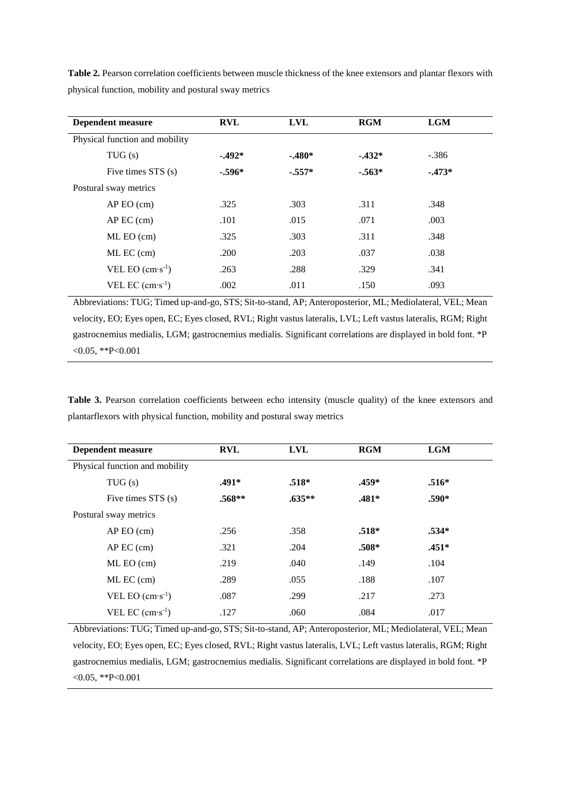| <b>Dependent measure</b>       | <b>RVL</b> | <b>LVL</b> | <b>RGM</b> | <b>LGM</b> |  |
|--------------------------------|------------|------------|------------|------------|--|
| Physical function and mobility |            |            |            |            |  |
| TUG(s)                         | $-492*$    | $-.480*$   | $-432*$    | $-.386$    |  |
| Five times STS (s)             | $-.596*$   | $-.557*$   | $-.563*$   | $-473*$    |  |
| Postural sway metrics          |            |            |            |            |  |
| $AP$ EO $(cm)$                 | .325       | .303       | .311       | .348       |  |
| $AP$ EC $(cm)$                 | .101       | .015       | .071       | .003       |  |
| $ML$ EO $(cm)$                 | .325       | .303       | .311       | .348       |  |
| ML EC (cm)                     | .200       | .203       | .037       | .038       |  |
| VEL EO $(cm·s-1)$              | .263       | .288       | .329       | .341       |  |
| VEL EC $(cm·s-1)$              | .002       | .011       | .150       | .093       |  |

**Table 2.** Pearson correlation coefficients between muscle thickness of the knee extensors and plantar flexors with physical function, mobility and postural sway metrics

Abbreviations: TUG; Timed up-and-go, STS; Sit-to-stand, AP; Anteroposterior, ML; Mediolateral, VEL; Mean velocity, EO; Eyes open, EC; Eyes closed, RVL; Right vastus lateralis, LVL; Left vastus lateralis, RGM; Right gastrocnemius medialis, LGM; gastrocnemius medialis. Significant correlations are displayed in bold font. \*P  $< 0.05$ , \*\*P $< 0.001$ 

**Table 3.** Pearson correlation coefficients between echo intensity (muscle quality) of the knee extensors and plantarflexors with physical function, mobility and postural sway metrics

| Dependent measure              | <b>RVL</b> | <b>LVL</b> | <b>RGM</b> | <b>LGM</b> |  |
|--------------------------------|------------|------------|------------|------------|--|
| Physical function and mobility |            |            |            |            |  |
| TUG(s)                         | .491*      | $.518*$    | .459*      | $.516*$    |  |
| Five times STS (s)             | $.568**$   | $.635**$   | $.481*$    | $.590*$    |  |
| Postural sway metrics          |            |            |            |            |  |
| $AP$ EO $(cm)$                 | .256       | .358       | $.518*$    | $.534*$    |  |
| $AP$ EC $(cm)$                 | .321       | .204       | $.508*$    | $.451*$    |  |
| $ML$ EO $(cm)$                 | .219       | .040       | .149       | .104       |  |
| ML EC (cm)                     | .289       | .055       | .188       | .107       |  |
| VEL EO $(cm·s-1)$              | .087       | .299       | .217       | .273       |  |
| VEL EC $(cm·s-1)$              | .127       | .060       | .084       | .017       |  |

Abbreviations: TUG; Timed up-and-go, STS; Sit-to-stand, AP; Anteroposterior, ML; Mediolateral, VEL; Mean velocity, EO; Eyes open, EC; Eyes closed, RVL; Right vastus lateralis, LVL; Left vastus lateralis, RGM; Right gastrocnemius medialis, LGM; gastrocnemius medialis. Significant correlations are displayed in bold font. \*P  $< 0.05$ , \*\*P $< 0.001$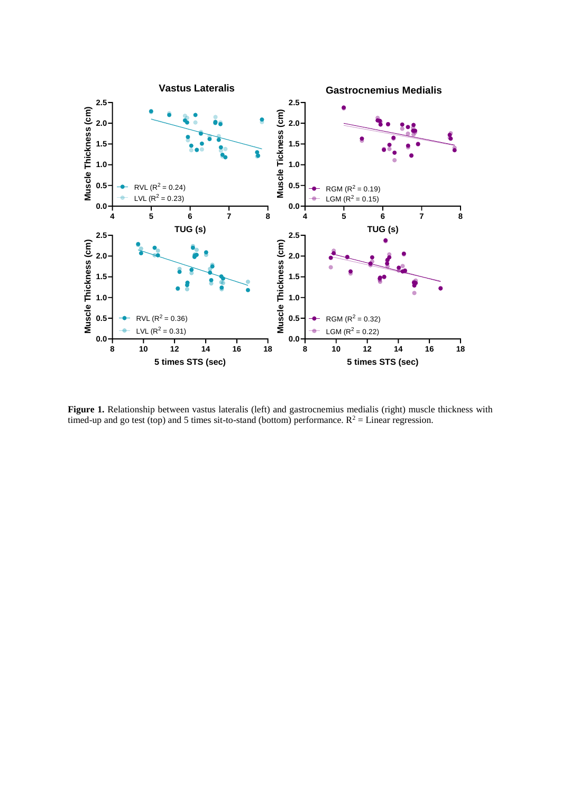

Figure 1. Relationship between vastus lateralis (left) and gastrocnemius medialis (right) muscle thickness with timed-up and go test (top) and 5 times sit-to-stand (bottom) performance.  $R^2$  = Linear regression.